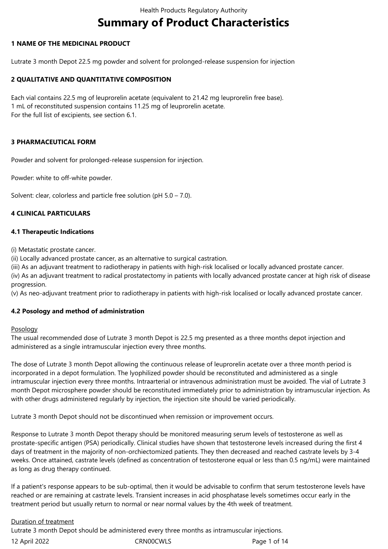# **Summary of Product Characteristics**

# **1 NAME OF THE MEDICINAL PRODUCT**

Lutrate 3 month Depot 22.5 mg powder and solvent for prolonged-release suspension for injection

# **2 QUALITATIVE AND QUANTITATIVE COMPOSITION**

Each vial contains 22.5 mg of leuprorelin acetate (equivalent to 21.42 mg leuprorelin free base). 1 mL of reconstituted suspension contains 11.25 mg of leuprorelin acetate. For the full list of excipients, see section 6.1.

# **3 PHARMACEUTICAL FORM**

Powder and solvent for prolonged-release suspension for injection.

Powder: white to off-white powder.

Solvent: clear, colorless and particle free solution (pH 5.0 – 7.0).

## **4 CLINICAL PARTICULARS**

## **4.1 Therapeutic Indications**

(i) Metastatic prostate cancer.

(ii) Locally advanced prostate cancer, as an alternative to surgical castration.

(iii) As an adjuvant treatment to radiotherapy in patients with high-risk localised or locally advanced prostate cancer.

(iv) As an adjuvant treatment to radical prostatectomy in patients with locally advanced prostate cancer at high risk of disease progression.

(v) As neo-adjuvant treatment prior to radiotherapy in patients with high-risk localised or locally advanced prostate cancer.

# **4.2 Posology and method of administration**

## Posology

The usual recommended dose of Lutrate 3 month Depot is 22.5 mg presented as a three months depot injection and administered as a single intramuscular injection every three months.

The dose of Lutrate 3 month Depot allowing the continuous release of leuprorelin acetate over a three month period is incorporated in a depot formulation. The lyophilized powder should be reconstituted and administered as a single intramuscular injection every three months. Intraarterial or intravenous administration must be avoided. The vial of Lutrate 3 month Depot microsphere powder should be reconstituted immediately prior to administration by intramuscular injection. As with other drugs administered regularly by injection, the injection site should be varied periodically.

Lutrate 3 month Depot should not be discontinued when remission or improvement occurs.

Response to Lutrate 3 month Depot therapy should be monitored measuring serum levels of testosterone as well as prostate-specific antigen (PSA) periodically. Clinical studies have shown that testosterone levels increased during the first 4 days of treatment in the majority of non-orchiectomized patients. They then decreased and reached castrate levels by 3-4 weeks. Once attained, castrate levels (defined as concentration of testosterone equal or less than 0.5 ng/mL) were maintained as long as drug therapy continued.

If a patient's response appears to be sub-optimal, then it would be advisable to confirm that serum testosterone levels have reached or are remaining at castrate levels. Transient increases in acid phosphatase levels sometimes occur early in the treatment period but usually return to normal or near normal values by the 4th week of treatment.

# Duration of treatment

12 April 2022 CRN00CWLS Page 1 of 14 Lutrate 3 month Depot should be administered every three months as intramuscular injections.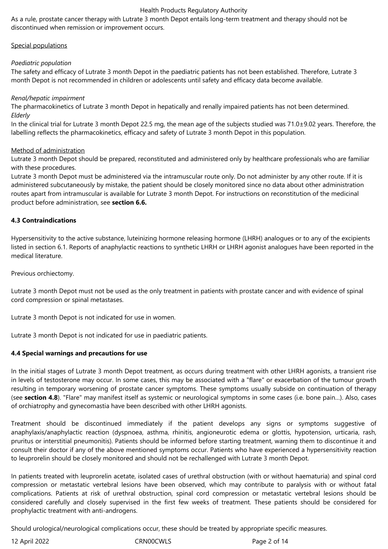As a rule, prostate cancer therapy with Lutrate 3 month Depot entails long-term treatment and therapy should not be discontinued when remission or improvement occurs.

## Special populations

## *Paediatric population*

The safety and efficacy of Lutrate 3 month Depot in the paediatric patients has not been established. Therefore, Lutrate 3 month Depot is not recommended in children or adolescents until safety and efficacy data become available.

## *Renal/hepatic impairment*

The pharmacokinetics of Lutrate 3 month Depot in hepatically and renally impaired patients has not been determined. *Elderly*

In the clinical trial for Lutrate 3 month Depot 22.5 mg, the mean age of the subjects studied was 71.0±9.02 years. Therefore, the labelling reflects the pharmacokinetics, efficacy and safety of Lutrate 3 month Depot in this population.

## Method of administration

Lutrate 3 month Depot should be prepared, reconstituted and administered only by healthcare professionals who are familiar with these procedures.

Lutrate 3 month Depot must be administered via the intramuscular route only. Do not administer by any other route. If it is administered subcutaneously by mistake, the patient should be closely monitored since no data about other administration routes apart from intramuscular is available for Lutrate 3 month Depot. For instructions on reconstitution of the medicinal product before administration, see **section 6.6.**

## **4.3 Contraindications**

Hypersensitivity to the active substance, luteinizing hormone releasing hormone (LHRH) analogues or to any of the excipients listed in section 6.1. Reports of anaphylactic reactions to synthetic LHRH or LHRH agonist analogues have been reported in the medical literature.

Previous orchiectomy.

Lutrate 3 month Depot must not be used as the only treatment in patients with prostate cancer and with evidence of spinal cord compression or spinal metastases.

Lutrate 3 month Depot is not indicated for use in women.

Lutrate 3 month Depot is not indicated for use in paediatric patients.

# **4.4 Special warnings and precautions for use**

In the initial stages of Lutrate 3 month Depot treatment, as occurs during treatment with other LHRH agonists, a transient rise in levels of testosterone may occur. In some cases, this may be associated with a "flare" or exacerbation of the tumour growth resulting in temporary worsening of prostate cancer symptoms. These symptoms usually subside on continuation of therapy (see **section 4.8**). "Flare" may manifest itself as systemic or neurological symptoms in some cases (i.e. bone pain…). Also, cases of orchiatrophy and gynecomastia have been described with other LHRH agonists.

Treatment should be discontinued immediately if the patient develops any signs or symptoms suggestive of anaphylaxis/anaphylactic reaction (dyspnoea, asthma, rhinitis, angioneurotic edema or glottis, hypotension, urticaria, rash, pruritus or interstitial pneumonitis). Patients should be informed before starting treatment, warning them to discontinue it and consult their doctor if any of the above mentioned symptoms occur. Patients who have experienced a hypersensitivity reaction to leuprorelin should be closely monitored and should not be rechallenged with Lutrate 3 month Depot.

In patients treated with leuprorelin acetate, isolated cases of urethral obstruction (with or without haematuria) and spinal cord compression or metastatic vertebral lesions have been observed, which may contribute to paralysis with or without fatal complications. Patients at risk of urethral obstruction, spinal cord compression or metastatic vertebral lesions should be considered carefully and closely supervised in the first few weeks of treatment. These patients should be considered for prophylactic treatment with anti-androgens.

Should urological/neurological complications occur, these should be treated by appropriate specific measures.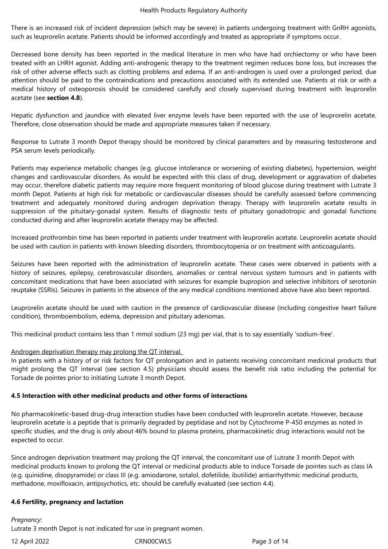There is an increased risk of incident depression (which may be severe) in patients undergoing treatment with GnRH agonists, such as leuprorelin acetate. Patients should be informed accordingly and treated as appropriate if symptoms occur.

Decreased bone density has been reported in the medical literature in men who have had orchiectomy or who have been treated with an LHRH agonist. Adding anti-androgenic therapy to the treatment regimen reduces bone loss, but increases the risk of other adverse effects such as clotting problems and edema. If an anti-androgen is used over a prolonged period, due attention should be paid to the contraindications and precautions associated with its extended use. Patients at risk or with a medical history of osteoporosis should be considered carefully and closely supervised during treatment with leuprorelin acetate (see **section 4.8**).

Hepatic dysfunction and jaundice with elevated liver enzyme levels have been reported with the use of leuprorelin acetate. Therefore, close observation should be made and appropriate measures taken if necessary.

Response to Lutrate 3 month Depot therapy should be monitored by clinical parameters and by measuring testosterone and PSA serum levels periodically.

Patients may experience metabolic changes (e.g. glucose intolerance or worsening of existing diabetes), hypertension, weight changes and cardiovascular disorders. As would be expected with this class of drug, development or aggravation of diabetes may occur, therefore diabetic patients may require more frequent monitoring of blood glucose during treatment with Lutrate 3 month Depot. Patients at high risk for metabolic or cardiovascular diseases should be carefully assessed before commencing treatment and adequately monitored during androgen deprivation therapy. Therapy with leuprorelin acetate results in suppression of the pituitary-gonadal system. Results of diagnostic tests of pituitary gonadotropic and gonadal functions conducted during and after leuprorelin acetate therapy may be affected.

Increased prothrombin time has been reported in patients under treatment with leuprorelin acetate. Leuprorelin acetate should be used with caution in patients with known bleeding disorders, thrombocytopenia or on treatment with anticoagulants.

Seizures have been reported with the administration of leuprorelin acetate. These cases were observed in patients with a history of seizures, epilepsy, cerebrovascular disorders, anomalies or central nervous system tumours and in patients with concomitant medications that have been associated with seizures for example bupropion and selective inhibitors of serotonin reuptake (SSRIs). Seizures in patients in the absence of the any medical conditions mentioned above have also been reported.

Leuprorelin acetate should be used with caution in the presence of cardiovascular disease (including congestive heart failure condition), thromboembolism, edema, depression and pituitary adenomas.

This medicinal product contains less than 1 mmol sodium (23 mg) per vial, that is to say essentially 'sodium-free'.

# Androgen deprivation therapy may prolong the QT interval.

In patients with a history of or risk factors for QT prolongation and in patients receiving concomitant medicinal products that might prolong the QT interval (see section 4.5) physicians should assess the benefit risk ratio including the potential for Torsade de pointes prior to initiating Lutrate 3 month Depot.

## **4.5 Interaction with other medicinal products and other forms of interactions**

No pharmacokinetic-based drug-drug interaction studies have been conducted with leuprorelin acetate. However, because leuprorelin acetate is a peptide that is primarily degraded by peptidase and not by Cytochrome P-450 enzymes as noted in specific studies, and the drug is only about 46% bound to plasma proteins, pharmacokinetic drug interactions would not be expected to occur.

Since androgen deprivation treatment may prolong the QT interval, the concomitant use of Lutrate 3 month Depot with medicinal products known to prolong the QT interval or medicinal products able to induce Torsade de pointes such as class IA (e.g. quinidine, disopyramide) or class III (e.g. amiodarone, sotalol, dofetilide, ibutilide) antiarrhythmic medicinal products, methadone, moxifloxacin, antipsychotics, etc. should be carefully evaluated (see section 4.4).

## **4.6 Fertility, pregnancy and lactation**

*Pregnancy:* Lutrate 3 month Depot is not indicated for use in pregnant women.

12 April 2022 CRN00CWLS Page 3 of 14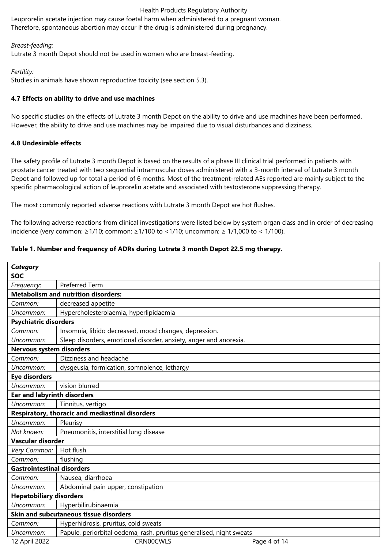Leuprorelin acetate injection may cause foetal harm when administered to a pregnant woman. Therefore, spontaneous abortion may occur if the drug is administered during pregnancy.

# *Breast-feeding:*

Lutrate 3 month Depot should not be used in women who are breast-feeding.

# *Fertility:*

Studies in animals have shown reproductive toxicity (see section 5.3).

# **4.7 Effects on ability to drive and use machines**

No specific studies on the effects of Lutrate 3 month Depot on the ability to drive and use machines have been performed. However, the ability to drive and use machines may be impaired due to visual disturbances and dizziness.

# **4.8 Undesirable effects**

The safety profile of Lutrate 3 month Depot is based on the results of a phase III clinical trial performed in patients with prostate cancer treated with two sequential intramuscular doses administered with a 3-month interval of Lutrate 3 month Depot and followed up for total a period of 6 months. Most of the treatment-related AEs reported are mainly subject to the specific pharmacological action of leuprorelin acetate and associated with testosterone suppressing therapy.

The most commonly reported adverse reactions with Lutrate 3 month Depot are hot flushes.

The following adverse reactions from clinical investigations were listed below by system organ class and in order of decreasing incidence (very common: ≥1/10; common: ≥1/100 to <1/10; uncommon: ≥ 1/1,000 to < 1/100).

# **Table 1. Number and frequency of ADRs during Lutrate 3 month Depot 22.5 mg therapy.**

| <b>Category</b>                                        |                                                                      |  |  |  |
|--------------------------------------------------------|----------------------------------------------------------------------|--|--|--|
| <b>SOC</b>                                             |                                                                      |  |  |  |
| Frequency:                                             | <b>Preferred Term</b>                                                |  |  |  |
| <b>Metabolism and nutrition disorders:</b>             |                                                                      |  |  |  |
| Common:                                                | decreased appetite                                                   |  |  |  |
| Uncommon:                                              | Hypercholesterolaemia, hyperlipidaemia                               |  |  |  |
| <b>Psychiatric disorders</b>                           |                                                                      |  |  |  |
| Common:                                                | Insomnia, libido decreased, mood changes, depression.                |  |  |  |
| Uncommon:                                              | Sleep disorders, emotional disorder, anxiety, anger and anorexia.    |  |  |  |
| Nervous system disorders                               |                                                                      |  |  |  |
| Common:                                                | Dizziness and headache                                               |  |  |  |
| Uncommon:                                              | dysgeusia, formication, somnolence, lethargy                         |  |  |  |
| <b>Eye disorders</b>                                   |                                                                      |  |  |  |
| Uncommon:                                              | vision blurred                                                       |  |  |  |
| <b>Ear and labyrinth disorders</b>                     |                                                                      |  |  |  |
| Uncommon:                                              | Tinnitus, vertigo                                                    |  |  |  |
| <b>Respiratory, thoracic and mediastinal disorders</b> |                                                                      |  |  |  |
| Uncommon:                                              | Pleurisy                                                             |  |  |  |
| Not known:                                             | Pneumonitis, interstitial lung disease                               |  |  |  |
| Vascular disorder                                      |                                                                      |  |  |  |
| Very Common:                                           | Hot flush                                                            |  |  |  |
| Common:                                                | flushing                                                             |  |  |  |
| <b>Gastrointestinal disorders</b>                      |                                                                      |  |  |  |
| Common:                                                | Nausea, diarrhoea                                                    |  |  |  |
| Uncommon:                                              | Abdominal pain upper, constipation                                   |  |  |  |
| <b>Hepatobiliary disorders</b>                         |                                                                      |  |  |  |
| Uncommon:                                              | Hyperbilirubinaemia                                                  |  |  |  |
| Skin and subcutaneous tissue disorders                 |                                                                      |  |  |  |
| Common:                                                | Hyperhidrosis, pruritus, cold sweats                                 |  |  |  |
| Uncommon:                                              | Papule, periorbital oedema, rash, pruritus generalised, night sweats |  |  |  |
| 12 April 2022                                          | CRN00CWLS<br>Page 4 of 14                                            |  |  |  |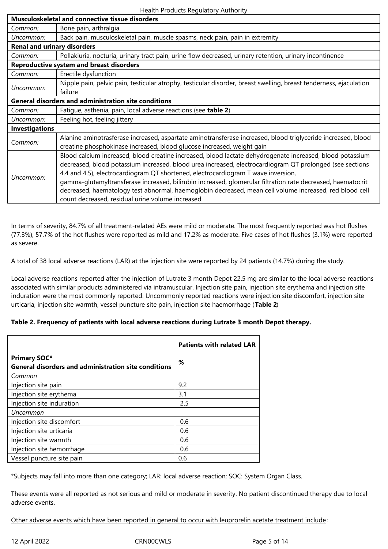| <b>Musculoskeletal and connective tissue disorders</b>      |                                                                                                                                                                                                                                                                                                                                                                                                                                                                                                                                                                                          |  |  |
|-------------------------------------------------------------|------------------------------------------------------------------------------------------------------------------------------------------------------------------------------------------------------------------------------------------------------------------------------------------------------------------------------------------------------------------------------------------------------------------------------------------------------------------------------------------------------------------------------------------------------------------------------------------|--|--|
| Common:                                                     | Bone pain, arthralgia                                                                                                                                                                                                                                                                                                                                                                                                                                                                                                                                                                    |  |  |
| Uncommon:                                                   | Back pain, musculoskeletal pain, muscle spasms, neck pain, pain in extremity                                                                                                                                                                                                                                                                                                                                                                                                                                                                                                             |  |  |
| <b>Renal and urinary disorders</b>                          |                                                                                                                                                                                                                                                                                                                                                                                                                                                                                                                                                                                          |  |  |
| Common:                                                     | Pollakiuria, nocturia, urinary tract pain, urine flow decreased, urinary retention, urinary incontinence                                                                                                                                                                                                                                                                                                                                                                                                                                                                                 |  |  |
| <b>Reproductive system and breast disorders</b>             |                                                                                                                                                                                                                                                                                                                                                                                                                                                                                                                                                                                          |  |  |
| Common:                                                     | Erectile dysfunction                                                                                                                                                                                                                                                                                                                                                                                                                                                                                                                                                                     |  |  |
| Uncommon:                                                   | Nipple pain, pelvic pain, testicular atrophy, testicular disorder, breast swelling, breast tenderness, ejaculation<br>failure                                                                                                                                                                                                                                                                                                                                                                                                                                                            |  |  |
| <b>General disorders and administration site conditions</b> |                                                                                                                                                                                                                                                                                                                                                                                                                                                                                                                                                                                          |  |  |
| Common:                                                     | Fatigue, asthenia, pain, local adverse reactions (see table 2)                                                                                                                                                                                                                                                                                                                                                                                                                                                                                                                           |  |  |
| Uncommon:                                                   | Feeling hot, feeling jittery                                                                                                                                                                                                                                                                                                                                                                                                                                                                                                                                                             |  |  |
| <b>Investigations</b>                                       |                                                                                                                                                                                                                                                                                                                                                                                                                                                                                                                                                                                          |  |  |
| Common:                                                     | Alanine aminotrasferase increased, aspartate aminotransferase increased, blood triglyceride increased, blood<br>creatine phosphokinase increased, blood glucose increased, weight gain                                                                                                                                                                                                                                                                                                                                                                                                   |  |  |
| Uncommon                                                    | Blood calcium increased, blood creatine increased, blood lactate dehydrogenate increased, blood potassium<br>decreased, blood potassium increased, blood urea increased, electrocardiogram QT prolonged (see sections<br>4.4 and 4.5), electrocardiogram QT shortened, electrocardiogram T wave inversion,<br>gamma-glutamyltransferase increased, bilirubin increased, glomerular filtration rate decreased, haematocrit<br>decreased, haematology test abnormal, haemoglobin decreased, mean cell volume increased, red blood cell<br>count decreased, residual urine volume increased |  |  |

In terms of severity, 84.7% of all treatment-related AEs were mild or moderate. The most frequently reported was hot flushes (77.3%), 57.7% of the hot flushes were reported as mild and 17.2% as moderate. Five cases of hot flushes (3.1%) were reported as severe.

A total of 38 local adverse reactions (LAR) at the injection site were reported by 24 patients (14.7%) during the study.

Local adverse reactions reported after the injection of Lutrate 3 month Depot 22.5 mg are similar to the local adverse reactions associated with similar products administered via intramuscular. Injection site pain, injection site erythema and injection site induration were the most commonly reported. Uncommonly reported reactions were injection site discomfort, injection site urticaria, injection site warmth, vessel puncture site pain, injection site haemorrhage (**Table 2**)

# **Table 2. Frequency of patients with local adverse reactions during Lutrate 3 month Depot therapy.**

|                                                             | <b>Patients with related LAR</b> |  |  |
|-------------------------------------------------------------|----------------------------------|--|--|
| <b>Primary SOC*</b>                                         | ℅                                |  |  |
| <b>General disorders and administration site conditions</b> |                                  |  |  |
| Common                                                      |                                  |  |  |
| Injection site pain                                         | 9.2                              |  |  |
| Injection site erythema                                     | 3.1                              |  |  |
| Injection site induration                                   | 2.5                              |  |  |
| Uncommon                                                    |                                  |  |  |
| Injection site discomfort                                   | 0.6                              |  |  |
| Injection site urticaria                                    | 0.6                              |  |  |
| Injection site warmth                                       | 0.6                              |  |  |
| Injection site hemorrhage                                   | 0.6                              |  |  |
| Vessel puncture site pain                                   | 0.6                              |  |  |

\*Subjects may fall into more than one category; LAR: local adverse reaction; SOC: System Organ Class.

These events were all reported as not serious and mild or moderate in severity. No patient discontinued therapy due to local adverse events.

Other adverse events which have been reported in general to occur with leuprorelin acetate treatment include: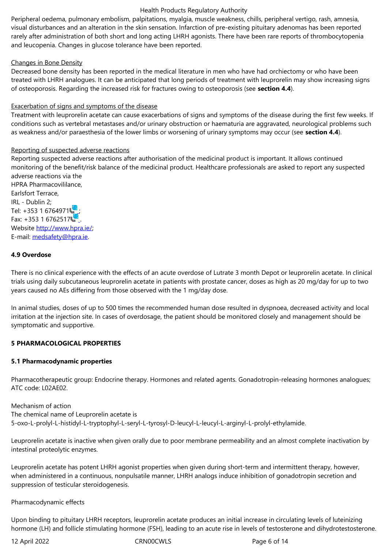rarely after administration of both short and long acting LHRH agonists. There have been rare reports of thrombocytopenia and leucopenia. Changes in glucose tolerance have been reported.

## Changes in Bone Density

Decreased bone density has been reported in the medical literature in men who have had orchiectomy or who have been treated with LHRH analogues. It can be anticipated that long periods of treatment with leuprorelin may show increasing signs of osteoporosis. Regarding the increased risk for fractures owing to osteoporosis (see **section 4.4**).

## Exacerbation of signs and symptoms of the disease

Treatment with leuprorelin acetate can cause exacerbations of signs and symptoms of the disease during the first few weeks. If conditions such as vertebral metastases and/or urinary obstruction or haematuria are aggravated, neurological problems such as weakness and/or paraesthesia of the lower limbs or worsening of urinary symptoms may occur (see **section 4.4**).

## Reporting of suspected adverse reactions

Reporting suspected adverse reactions after authorisation of the medicinal product is important. It allows continued monitoring of the benefit/risk balance of the medicinal product. Healthcare professionals are asked to report any suspected adverse reactions via the

HPRA Pharmacovililance, Earlsfort Terrace, IRL - Dublin 2; Tel: +353 1 6764971 Fax: +353 1 6762517 Website http://www.hpra.ie/; E-mail: medsafety@hpra.ie.

# **4.9 Ove[rdose](http://www.hpra.ie/)**

There i[s no clinical experien](mailto:medsafety@hpra.ie)ce with the effects of an acute overdose of Lutrate 3 month Depot or leuprorelin acetate. In clinical trials using daily subcutaneous leuprorelin acetate in patients with prostate cancer, doses as high as 20 mg/day for up to two years caused no AEs differing from those observed with the 1 mg/day dose.

In animal studies, doses of up to 500 times the recommended human dose resulted in dyspnoea, decreased activity and local irritation at the injection site. In cases of overdosage, the patient should be monitored closely and management should be symptomatic and supportive.

# **5 PHARMACOLOGICAL PROPERTIES**

## **5.1 Pharmacodynamic properties**

Pharmacotherapeutic group: Endocrine therapy. Hormones and related agents. Gonadotropin-releasing hormones analogues; ATC code: L02AE02.

Mechanism of action The chemical name of Leuprorelin acetate is 5-oxo-L-prolyl-L-histidyl-L-tryptophyl-L-seryl-L-tyrosyl-D-leucyl-L-leucyl-L-arginyl-L-prolyl-ethylamide.

Leuprorelin acetate is inactive when given orally due to poor membrane permeability and an almost complete inactivation by intestinal proteolytic enzymes.

Leuprorelin acetate has potent LHRH agonist properties when given during short-term and intermittent therapy, however, when administered in a continuous, nonpulsatile manner, LHRH analogs induce inhibition of gonadotropin secretion and suppression of testicular steroidogenesis.

## Pharmacodynamic effects

Upon binding to pituitary LHRH receptors, leuprorelin acetate produces an initial increase in circulating levels of luteinizing hormone (LH) and follicle stimulating hormone (FSH), leading to an acute rise in levels of testosterone and dihydrotestosterone.

12 April 2022 CRN00CWLS Page 6 of 14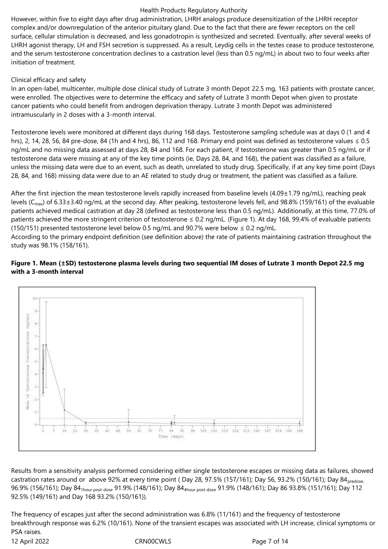However, within five to eight days after drug administration, LHRH analogs produce desensitization of the LHRH receptor complex and/or downregulation of the anterior pituitary gland. Due to the fact that there are fewer receptors on the cell surface, cellular stimulation is decreased, and less gonadotropin is synthesized and secreted. Eventually, after several weeks of LHRH agonist therapy, LH and FSH secretion is suppressed. As a result, Leydig cells in the testes cease to produce testosterone, and the serum testosterone concentration declines to a castration level (less than 0.5 ng/mL) in about two to four weeks after initiation of treatment.

## Clinical efficacy and safety

In an open-label, multicenter, multiple dose clinical study of Lutrate 3 month Depot 22.5 mg, 163 patients with prostate cancer, were enrolled. The objectives were to determine the efficacy and safety of Lutrate 3 month Depot when given to prostate cancer patients who could benefit from androgen deprivation therapy. Lutrate 3 month Depot was administered intramuscularly in 2 doses with a 3-month interval.

Testosterone levels were monitored at different days during 168 days. Testosterone sampling schedule was at days 0 (1 and 4 hrs), 2, 14, 28, 56, 84 pre-dose, 84 (1h and 4 hrs), 86, 112 and 168. Primary end point was defined as testosterone values  $\leq 0.5$ ng/mL and no missing data assessed at days 28, 84 and 168. For each patient, if testosterone was greater than 0.5 ng/mL or if testosterone data were missing at any of the key time points (ie, Days 28, 84, and 168), the patient was classified as a failure, unless the missing data were due to an event, such as death, unrelated to study drug. Specifically, if at any key time point (Days 28, 84, and 168) missing data were due to an AE related to study drug or treatment, the patient was classified as a failure.

After the first injection the mean testosterone levels rapidly increased from baseline levels (4.09±1.79 ng/mL), reaching peak levels ( $C_{\text{max}}$ ) of 6.33±3.40 ng/mL at the second day. After peaking, testosterone levels fell, and 98.8% (159/161) of the evaluable patients achieved medical castration at day 28 (defined as testosterone less than 0.5 ng/mL). Additionally, at this time, 77.0% of patients achieved the more stringent criterion of testosterone ≤ 0.2 ng/mL. (Figure 1). At day 168, 99.4% of evaluable patients (150/151) presented testosterone level below 0.5 ng/mL and 90.7% were below  $\leq$  0.2 ng/mL.

According to the primary endpoint definition (see definition above) the rate of patients maintaining castration throughout the study was 98.1% (158/161).

## **Figure 1. Mean (±SD) testosterone plasma levels during two sequential IM doses of Lutrate 3 month Depot 22.5 mg with a 3-month interval**



Results from a sensitivity analysis performed considering either single testosterone escapes or missing data as failures, showed castration rates around or above 92% at every time point (Day 28, 97.5% (157/161); Day 56, 93.2% (150/161); Day 84 predose, 96.9% (156/161); Day 84<sub>1hour post-dose</sub> 91.9% (148/161); Day 84<sub>4hour post-dose</sub> 91.9% (148/161); Day 86 93.8% (151/161); Day 112 92.5% (149/161) and Day 168 93.2% (150/161)).

12 April 2022 CRN00CWLS Page 7 of 14 The frequency of escapes just after the second administration was 6.8% (11/161) and the frequency of testosterone breakthrough response was 6.2% (10/161). None of the transient escapes was associated with LH increase, clinical symptoms or PSA raises.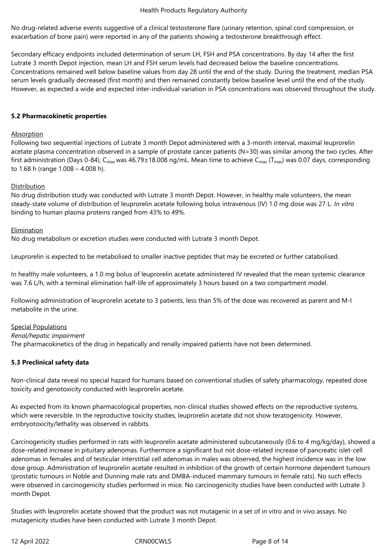No drug-related adverse events suggestive of a clinical testosterone flare (urinary retention, spinal cord compression, or exacerbation of bone pain) were reported in any of the patients showing a testosterone breakthrough effect.

Secondary efficacy endpoints included determination of serum LH, FSH and PSA concentrations. By day 14 after the first Lutrate 3 month Depot injection, mean LH and FSH serum levels had decreased below the baseline concentrations. Concentrations remained well below baseline values from day 28 until the end of the study. During the treatment, median PSA serum levels gradually decreased (first month) and then remained constantly below baseline level until the end of the study. However, as expected a wide and expected inter-individual variation in PSA concentrations was observed throughout the study.

## **5.2 Pharmacokinetic properties**

## **Absorption**

Following two sequential injections of Lutrate 3 month Depot administered with a 3-month interval, maximal leuprorelin acetate plasma concentration observed in a sample of prostate cancer patients (N=30) was similar among the two cycles. After first administration (Days 0-84), C<sub>max</sub> was 46.79±18.008 ng/mL. Mean time to achieve C<sub>max</sub> (T<sub>max</sub>) was 0.07 days, corresponding to 1.68 h (range 1.008 – 4.008 h).

## Distribution

No drug distribution study was conducted with Lutrate 3 month Depot. However, in healthy male volunteers, the mean steady-state volume of distribution of leuprorelin acetate following bolus intravenous (IV) 1.0 mg dose was 27 L. *In vitro* binding to human plasma proteins ranged from 43% to 49%.

## **Elimination**

No drug metabolism or excretion studies were conducted with Lutrate 3 month Depot.

Leuprorelin is expected to be metabolised to smaller inactive peptides that may be excreted or further catabolised.

In healthy male volunteers, a 1.0 mg bolus of leuprorelin acetate administered IV revealed that the mean systemic clearance was 7.6 L/h, with a terminal elimination half-life of approximately 3 hours based on a two compartment model.

Following administration of leuprorelin acetate to 3 patients, less than 5% of the dose was recovered as parent and M-I metabolite in the urine.

Special Populations *Renal/hepatic impairment* The pharmacokinetics of the drug in hepatically and renally impaired patients have not been determined.

## **5.3 Preclinical safety data**

Non-clinical data reveal no special hazard for humans based on conventional studies of safety pharmacology, repeated dose toxicity and genotoxicity conducted with leuprorelin acetate.

As expected from its known pharmacological properties, non-clinical studies showed effects on the reproductive systems, which were reversible. In the reproductive toxicity studies, leuprorelin acetate did not show teratogenicity. However, embryotoxicity/lethality was observed in rabbits.

Carcinogenicity studies performed in rats with leuprorelin acetate administered subcutaneously (0.6 to 4 mg/kg/day), showed a dose-related increase in pituitary adenomas. Furthermore a significant but not dose-related increase of pancreatic islet-cell adenomas in females and of testicular interstitial cell adenomas in males was observed, the highest incidence was in the low dose group. Administration of leuprorelin acetate resulted in inhibition of the growth of certain hormone dependent tumours (prostatic tumours in Noble and Dunning male rats and DMBA-induced mammary tumours in female rats). No such effects were observed in carcinogenicity studies performed in mice. No carcinogenicity studies have been conducted with Lutrate 3 month Depot.

Studies with leuprorelin acetate showed that the product was not mutagenic in a set of in vitro and in vivo assays. No mutagenicity studies have been conducted with Lutrate 3 month Depot.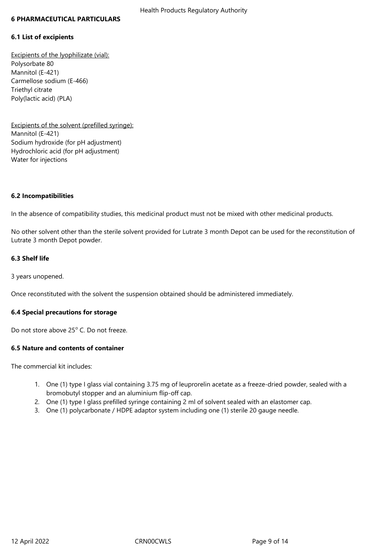#### **6 PHARMACEUTICAL PARTICULARS**

#### **6.1 List of excipients**

Excipients of the lyophilizate (vial): Polysorbate 80 Mannitol (E-421) Carmellose sodium (E-466) Triethyl citrate Poly(lactic acid) (PLA)

Excipients of the solvent (prefilled syringe): Mannitol (E-421) Sodium hydroxide (for pH adjustment) Hydrochloric acid (for pH adjustment) Water for injections

#### **6.2 Incompatibilities**

In the absence of compatibility studies, this medicinal product must not be mixed with other medicinal products.

No other solvent other than the sterile solvent provided for Lutrate 3 month Depot can be used for the reconstitution of Lutrate 3 month Depot powder.

## **6.3 Shelf life**

3 years unopened.

Once reconstituted with the solvent the suspension obtained should be administered immediately.

## **6.4 Special precautions for storage**

Do not store above 25° C. Do not freeze.

## **6.5 Nature and contents of container**

The commercial kit includes:

- 1. One (1) type I glass vial containing 3.75 mg of leuprorelin acetate as a freeze-dried powder, sealed with a bromobutyl stopper and an aluminium flip-off cap.
- 2. One (1) type I glass prefilled syringe containing 2 ml of solvent sealed with an elastomer cap.
- 3. One (1) polycarbonate / HDPE adaptor system including one (1) sterile 20 gauge needle.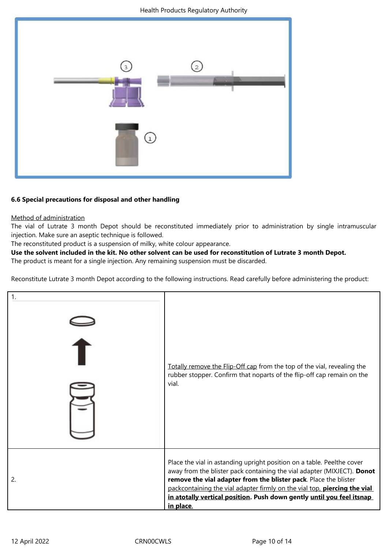

## **6.6 Special precautions for disposal and other handling**

## Method of administration

The vial of Lutrate 3 month Depot should be reconstituted immediately prior to administration by single intramuscular injection. Make sure an aseptic technique is followed.

The reconstituted product is a suspension of milky, white colour appearance.

## **Use the solvent included in the kit. No other solvent can be used for reconstitution of Lutrate 3 month Depot.**

The product is meant for a single injection. Any remaining suspension must be discarded.

Reconstitute Lutrate 3 month Depot according to the following instructions. Read carefully before administering the product:

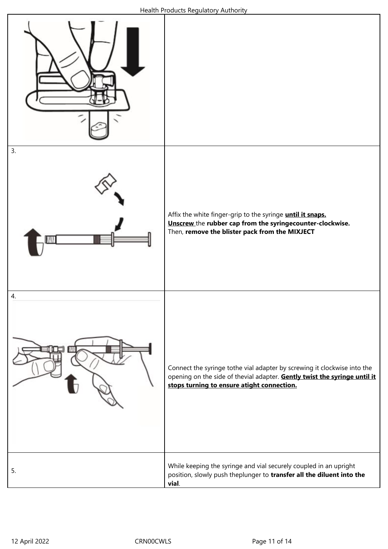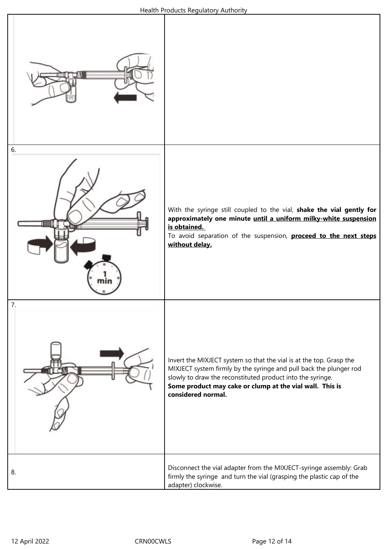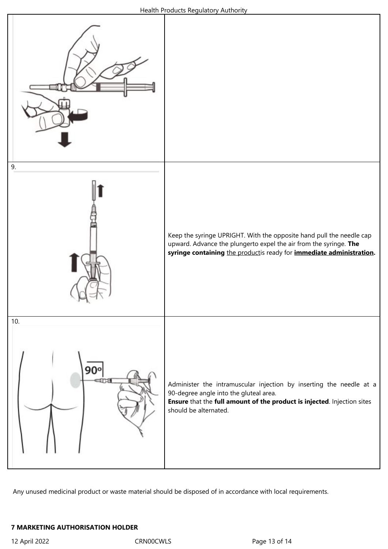

Any unused medicinal product or waste material should be disposed of in accordance with local requirements.

## **7 MARKETING AUTHORISATION HOLDER**

12 April 2022 CRN00CWLS Page 13 of 14